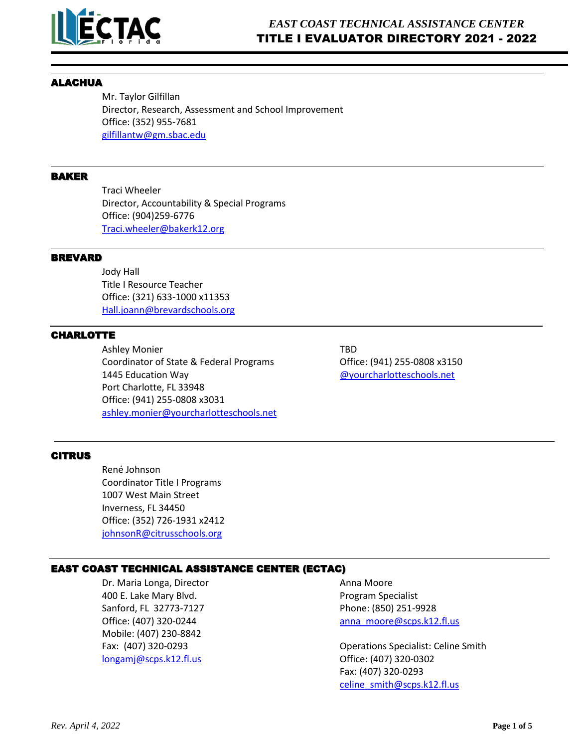

### ALACHUA

Mr. Taylor Gilfillan Director, Research, Assessment and School Improvement Office: (352) 955-7681 [gilfillantw@gm.sbac.edu](mailto:gilfillantw@gm.sbac.edu)

# BAKER

Traci Wheeler Director, Accountability & Special Programs Office: (904)259-6776 [Traci.wheeler@bakerk12.org](mailto:Traci.wheeler@bakerk12.org)

#### BREVARD

Jody Hall Title I Resource Teacher Office: (321) 633-1000 x11353 [Hall.joann@brevardschools.org](mailto:Hall.joann@brevardschools.org)

# CHARLOTTE

Ashley Monier TBD Coordinator of State & Federal Programs Office: (941) 255-0808 x3150 1445 Education Way [@yourcharlotteschools.net](mailto:renee.whiley@yourcharlotteschools.net) Port Charlotte, FL 33948 Office: (941) 255-0808 x3031 [ashley.monier@yourcharlotteschools.net](mailto:ashley.monier@yourcharlotteschools.net)

#### CITRUS

René Johnson Coordinator Title I Programs 1007 West Main Street Inverness, FL 34450 Office: (352) 726-1931 x2412 [johnsonR@citrusschools.org](mailto:johnsonR@citrusschools.org)

# EAST COAST TECHNICAL ASSISTANCE CENTER (ECTAC)

Dr. Maria Longa, Director **Anna Moore** Anna Moore 400 E. Lake Mary Blvd. Program Specialist Sanford, FL 32773-7127 Phone: (850) 251-9928 Mobile: (407) 230-8842  $longami@scps.k12.fl.us$  Office: (407) 320-0302

Office: (407) 320-0244 **but annot annot annot annot annot annot annot annot annot annot annot annot annot annot a** 

Fax: (407) 320-0293 Operations Specialist: Celine Smith Fax: (407) 320-0293 [celine\\_smith@scps.k12.fl.us](mailto:celine_smith@scps.k12.fl.us)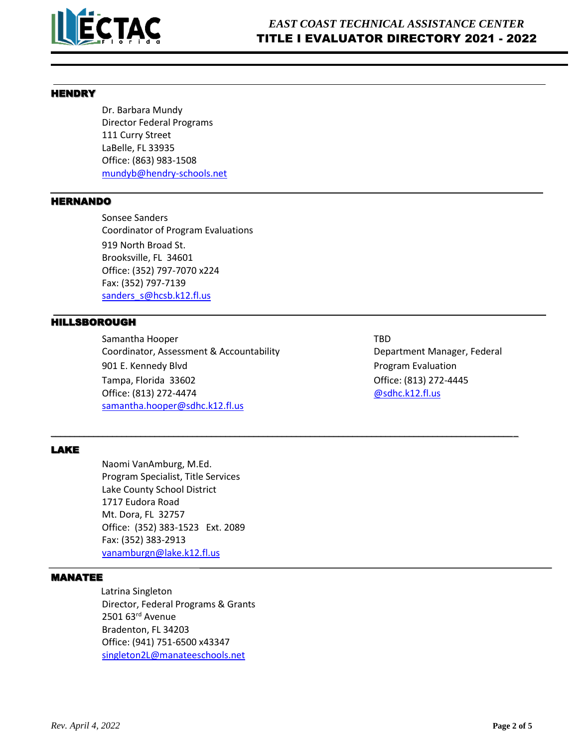

### **HENDRY**

Dr. Barbara Mundy Director Federal Programs 111 Curry Street LaBelle, FL 33935 Office: (863) 983-1508 [mundyb@hendry-schools.net](mailto:mundyb@hendry-schools.net)

#### HERNANDO

Sonsee Sanders Coordinator of Program Evaluations 919 North Broad St. Brooksville, FL 34601 Office: (352) 797-7070 x224 Fax: (352) 797-7139 [sanders\\_s@hcsb.k12.fl.us](mailto:sanders_s@hcsb.k12.fl.us)

# HILLSBOROUGH

Samantha Hooper TBD Coordinator, Assessment & Accountability **Department Manager, Federal** 901 E. Kennedy Blvd **Program Evaluation** Tampa, Florida 33602 Office: (813) 272-4445 Office: (813) 272-4474 **[@sdhc.k12.fl.us](mailto:julie.mcleod@sdhc.k12.fl.us)** [samantha.hooper@sdhc.k12.fl.us](mailto:samantha.hooper@sdhc.k12.fl.us)

\_\_\_\_\_\_\_\_\_\_\_\_\_\_\_\_\_\_\_\_\_\_\_\_\_\_\_\_\_\_\_\_\_\_\_\_\_\_\_\_\_\_\_\_\_\_\_\_\_\_\_\_\_\_\_\_\_\_\_\_\_\_\_\_\_\_\_\_\_\_\_\_\_\_\_\_\_\_\_\_\_\_\_\_\_\_\_\_\_\_\_\_\_\_\_\_\_\_\_

# LAKE

Naomi VanAmburg, M.Ed. Program Specialist, Title Services Lake County School District 1717 Eudora Road Mt. Dora, FL 32757 Office: (352) 383-1523 Ext. 2089 Fax: (352) 383-2913 [vanamburgn@lake.k12.fl.us](mailto:vanamburgn@lake.k12.fl.us)

# MANATEE

Latrina Singleton Director, Federal Programs & Grants 2501 63rd Avenue Bradenton, FL 34203 Office: (941) 751-6500 x43347 [singleton2L@manateeschools.net](mailto:singleton2L@manateeschools.net)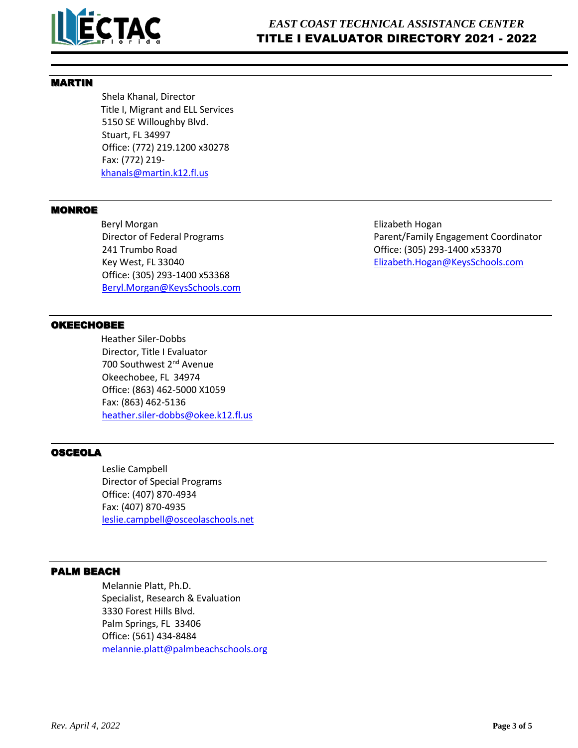

# MARTIN

Shela Khanal, Director Title I, Migrant and ELL Services 5150 SE Willoughby Blvd. Stuart, FL 34997 Office: (772) 219.1200 x30278 Fax: (772) 219 [khanals@martin.k12.fl.us](mailto:khanals@martin.k12.fl.us)

### **MONROE**

**Beryl Morgan Bullet Elizabeth Hogan Bullet Elizabeth Hogan** 241 Trumbo Road Office: (305) 293-1400 x53370 Office: (305) 293-1400 x53368 [Beryl.Morgan@KeysSchools.com](mailto:Beryl.Morgan@KeysSchools.com)

Director of Federal Programs **Parent/Family Engagement Coordinator** Parent/Family Engagement Coordinator Key West, FL 33040 **[Elizabeth.Hogan@KeysSchools.com](mailto:Elizabeth.Hogan@KeysSchools.com)** 

# OKEECHOBEE

Heather Siler-Dobbs Director, Title I Evaluator 700 Southwest 2<sup>nd</sup> Avenue Okeechobee, FL 34974 Office: (863) 462-5000 X1059 Fax: (863) 462-5136 [heather.siler-dobbs@okee.k12.fl.us](mailto:heather.siler-dobbs@okee.k12.fl.us)

# OSCEOLA

Leslie Campbell Director of Special Programs Office: (407) 870-4934 Fax: (407) 870-4935 [leslie.campbell@osceolaschools.net](mailto:leslie.campbell@osceolaschools.net)

# PALM BEACH

Melannie Platt, Ph.D. Specialist, Research & Evaluation 3330 Forest Hills Blvd. Palm Springs, FL 33406 Office: (561) 434-8484 [melannie.platt@palmbeachschools.org](mailto:melannie.platt@palmbeachschools.org)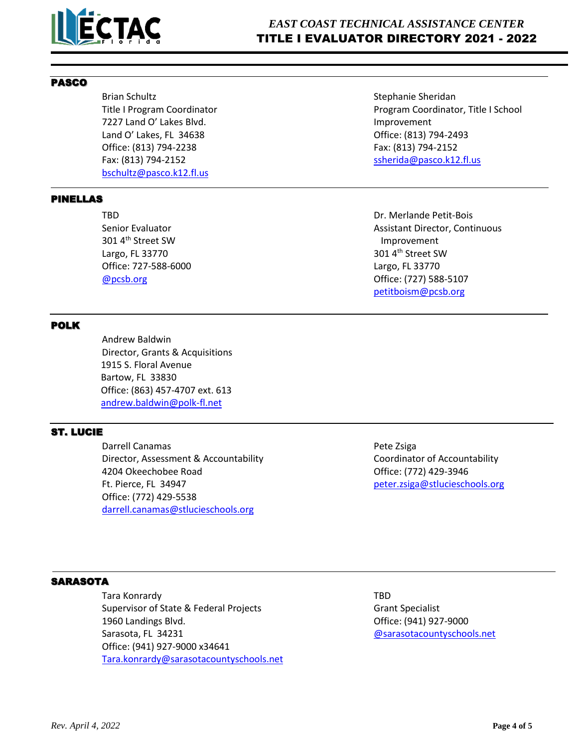

# *EAST COAST TECHNICAL ASSISTANCE CENTER* TITLE I EVALUATOR DIRECTORY 2021 - 2022

# PASCO

Brian Schultz **Stephanie Sheridan** Stephanie Sheridan 7227 Land O' Lakes Blvd. Improvement Land O' Lakes, FL 34638 Office: (813) 794-2493 Office: (813) 794-2238 Fax: (813) 794-2152 Fax: (813) 794-2152 **State 3 and 2018** [ssherida@pasco.k12.fl.us](mailto:ssherida@pasco.k12.fl.us) [bschultz@pasco.k12.fl.us](mailto:bschultz@pasco.k12.fl.us)

# PINELLAS

301 4<sup>th</sup> Street SW Improvement Largo, FL 33770  $301\,4^{\text{th}}$  Street SW Office: 727-588-6000 Largo, FL 33770

# POLK

Andrew Baldwin Director, Grants & Acquisitions 1915 S. Floral Avenue Bartow, FL 33830 Office: (863) 457-4707 ext. 613 [andrew.baldwin@polk-fl.net](mailto:andrew.baldwin@polk-fl.net)

# ST. LUCIE

Darrell Canamas **Pete Zsiga** Director, Assessment & Accountability **Coordinator of Accountability** Coordinator of Accountability 4204 Okeechobee Road Office: (772) 429-3946 Ft. Pierce, FL 34947 [peter.zsiga@stlucieschools.org](mailto:peter.zsiga@stlucieschools.org) Office: (772) 429-5538 [darrell.canamas@stlucieschools.org](mailto:darrell.canamas@stlucieschools.org)

Title I Program Coordinator **Program Coordinator** Program Coordinator, Title I School

TBD Dr. Merlande Petit-Bois Senior Evaluator **Assistant Director, Continuous** Assistant Director, Continuous [@pcsb.org](mailto:whittens@pcsb.org) Office: (727) 588-5107 [petitboism@pcsb.org](mailto:petitboism@pcsb.org)

# **SARASOTA**

Tara Konrardy TBD Supervisor of State & Federal Projects Grant Specialist 1960 Landings Blvd. Office: (941) 927-9000 Sarasota, FL 34231 [@sarasotacountyschools.net](mailto:amy.donner@sarasotacountyschools.net) Office: (941) 927-9000 x34641 Tara.konrard[y@sarasotacountyschools.net](mailto:jane.mahler@sarasotacountyschools.net)